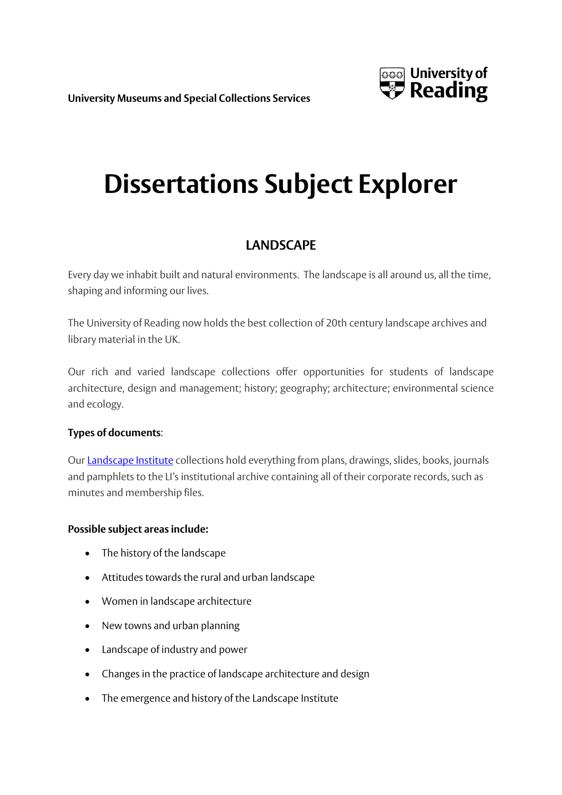**University Museums and Special Collections Services**



# **Dissertations Subject Explorer**

# **LANDSCAPE**

Every day we inhabit built and natural environments. The landscape is all around us, all the time, shaping and informing our lives.

The University of Reading now holds the best collection of 20th century landscape archives and library material in the UK.

Our rich and varied landscape collections offer opportunities for students of landscape architecture, design and management; history; geography; architecture; environmental science and ecology.

## **Types of documents**:

Our [Landscape](https://www.reading.ac.uk/merl/collections/Archives_A_to_Z/merl-SR_LI.aspx) Institute collections hold everything from plans, drawings, slides, books, journals and pamphlets to the LI's institutional archive containing all of their corporate records, such as minutes and membership files.

## **Possible subject areas include:**

- The history of the landscape
- Attitudes towards the rural and urban landscape
- Women in landscape architecture
- New towns and urban planning
- Landscape of industry and power
- Changes in the practice of landscape architecture and design
- The emergence and history of the Landscape Institute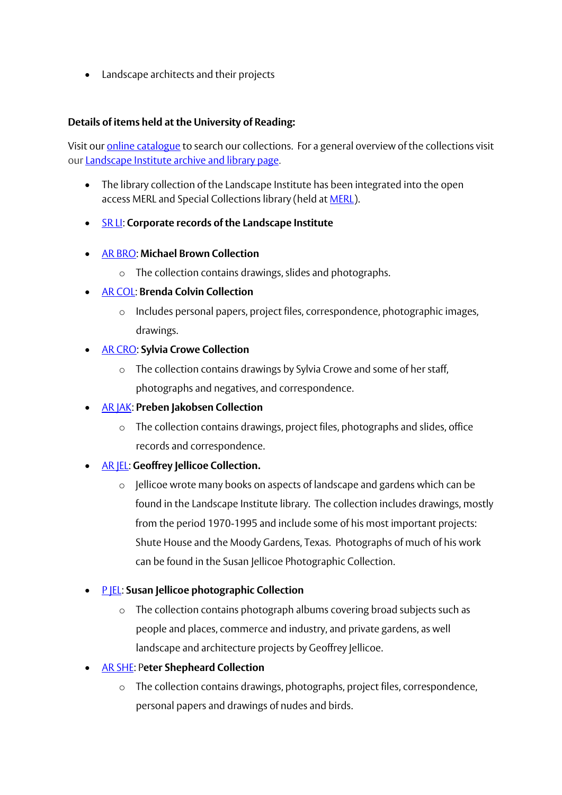Landscape architects and their projects

#### **Details of items held at the University of Reading:**

Visit our **online catalogue** to search our collections. For a general overview of the collections visit our [Landscape](https://www.reading.ac.uk/merl/collections/Archives_A_to_Z/merl-SR_LI.aspx) Institute archive and library page.

- The library collection of the Landscape Institute has been integrated into the open access MERL and Special Collections library (held a[t MERL\)](http://www.reading.ac.uk/themerl/research/collectionoverview/themerl-library.aspx).
- [SR LI:](https://www.reading.ac.uk/web/files/merl/SR_LI.pdf) **Corporate records of the Landscape Institute**
- [AR BRO:](http://www.reading.ac.uk/merl/collections/Archives_A_to_Z/merl-AR_BRO.aspx) **[Michael Brown Collection](https://www.reading.ac.uk/merl/collections/Archives_A_to_Z/merl-AR_BRO.aspx)**
	- o The collection contains drawings, slides and photographs.
- [AR COL:](http://www.reading.ac.uk/merl/collections/Archives_A_to_Z/merl-AR_COL.aspx) **[Brenda Colvin Collection](https://www.reading.ac.uk/merl/collections/Archives_A_to_Z/merl-AR_COL.aspx)**
	- o Includes personal papers, project files, correspondence, photographic images, drawings.
- [AR CRO:](http://www.reading.ac.uk/merl/collections/Archives_A_to_Z/merl-AR_CRO.aspx) **[Sylvia Crowe Collection](https://www.reading.ac.uk/merl/collections/Archives_A_to_Z/merl-AR_CRO.aspx)**
	- o The collection contains drawings by Sylvia Crowe and some of her staff, photographs and negatives, and correspondence.
- [AR JAK:](http://www.reading.ac.uk/merl/collections/Archives_A_to_Z/merl-AR_JAK.aspx) **[Preben Jakobsen Collection](https://www.reading.ac.uk/merl/collections/Archives_A_to_Z/merl-AR_JAK.aspx)**
	- $\circ$  The collection contains drawings, project files, photographs and slides, office records and correspondence.
- [AR JEL:](http://www.reading.ac.uk/merl/collections/Archives_A_to_Z/merl-AR_JEL.aspx) **[Geoffrey Jellicoe Collection.](https://www.reading.ac.uk/merl/collections/Archives_A_to_Z/merl-AR_JEL.aspx)**
	- o Jellicoe wrote many books on aspects of landscape and gardens which can be found in the Landscape Institute library. The collection includes drawings, mostly from the period 1970-1995 and include some of his most important projects: Shute House and the Moody Gardens, Texas. Photographs of much of his work can be found in the Susan Jellicoe Photographic Collection.
- [P JEL:](http://www.reading.ac.uk/merl/collections/Archives_A_to_Z/merl-P_JEL.aspx) **[Susan Jellicoe photographic Collection](https://www.reading.ac.uk/merl/collections/Archives_A_to_Z/merl-P_JEL.aspx)**
	- o The collection contains photograph albums covering broad subjects such as people and places, commerce and industry, and private gardens, as well landscape and architecture projects by Geoffrey Jellicoe.
- [AR SHE:](http://www.reading.ac.uk/merl/collections/Archives_A_to_Z/merl-AR_SHE.aspx) P**[eter Shepheard Collection](https://www.reading.ac.uk/merl/collections/Archives_A_to_Z/merl-AR_SHE.aspx)**
	- o The collection contains drawings, photographs, project files, correspondence, personal papers and drawings of nudes and birds.